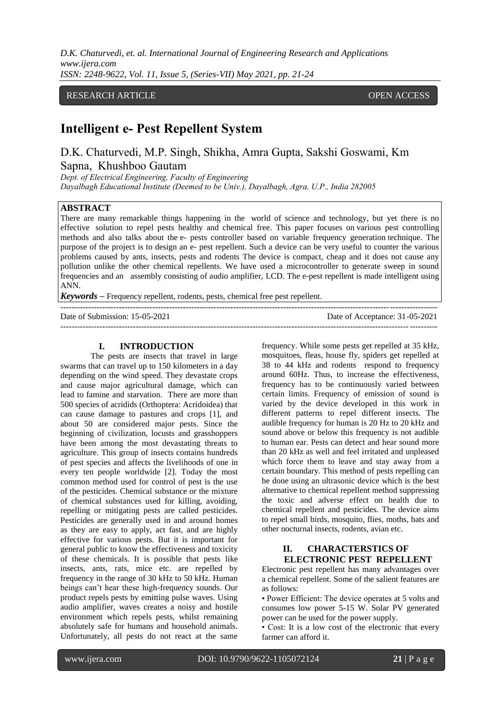*D.K. Chaturvedi, et. al. International Journal of Engineering Research and Applications www.ijera.com ISSN: 2248-9622, Vol. 11, Issue 5, (Series-VII) May 2021, pp. 21-24*

### RESEARCH ARTICLE OPEN ACCESS

# **Intelligent e- Pest Repellent System**

D.K. Chaturvedi, M.P. Singh, Shikha, Amra Gupta, Sakshi Goswami, Km Sapna, Khushboo Gautam

*Dept. of Electrical Engineering, Faculty of Engineering Dayalbagh Educational Institute (Deemed to be Univ.), Dayalbagh, Agra, U.P., India 282005*

## **ABSTRACT**

There are many remarkable things happening in the world of science and technology, but yet there is no effective solution to repel pests healthy and chemical free. This paper focuses on various pest controlling methods and also talks about the e- pests controller based on variable frequency generation technique. The purpose of the project is to design an e- pest repellent. Such a device can be very useful to counter the various problems caused by ants, insects, pests and rodents The device is compact, cheap and it does not cause any pollution unlike the other chemical repellents. We have used a microcontroller to generate sweep in sound frequencies and an assembly consisting of audio amplifier, LCD. The e-pest repellent is made intelligent using ANN.

---------------------------------------------------------------------------------------------------------------------------------------

*Keywords –* Frequency repellent, rodents, pests, chemical free pest repellent.

Date of Submission: 15-05-2021 Date of Acceptance: 31-05-2021 ---------------------------------------------------------------------------------------------------------------------------------------

#### **I. INTRODUCTION**

The pests are insects that travel in large swarms that can travel up to 150 kilometers in a day depending on the wind speed. They devastate crops and cause major agricultural damage, which can lead to famine and starvation. There are more than 500 species of acridids (Orthoptera: Acridoidea) that can cause damage to pastures and crops [1], and about 50 are considered major pests. Since the beginning of civilization, locusts and grasshoppers have been among the most devastating threats to agriculture. This group of insects contains hundreds of pest species and affects the livelihoods of one in every ten people worldwide [2]. Today the most common method used for control of pest is the use of the pesticides. Chemical substance or the mixture of chemical substances used for killing, avoiding, repelling or mitigating pests are called pesticides. Pesticides are generally used in and around homes as they are easy to apply, act fast, and are highly effective for various pests. But it is important for general public to know the effectiveness and toxicity of these chemicals. It is possible that pests like insects, ants, rats, mice etc. are repelled by frequency in the range of 30 kHz to 50 kHz. Human beings can't hear these high-frequency sounds. Our product repels pests by emitting pulse waves. Using audio amplifier, waves creates a noisy and hostile environment which repels pests, whilst remaining absolutely safe for humans and household animals. Unfortunately, all pests do not react at the same

frequency. While some pests get repelled at 35 kHz, mosquitoes, fleas, house fly, spiders get repelled at 38 to 44 kHz and rodents respond to frequency around 60Hz. Thus, to increase the effectiveness, frequency has to be continuously varied between certain limits. Frequency of emission of sound is varied by the device developed in this work in different patterns to repel different insects. The audible frequency for human is 20 Hz to 20 kHz and sound above or below this frequency is not audible to human ear. Pests can detect and hear sound more than 20 kHz as well and feel irritated and unpleased which force them to leave and stay away from a certain boundary. This method of pests repelling can be done using an ultrasonic device which is the best alternative to chemical repellent method suppressing the toxic and adverse effect on health due to chemical repellent and pesticides. The device aims to repel small birds, mosquito, flies, moths, bats and other nocturnal insects, rodents, avian etc.

### **II. CHARACTERSTICS OF ELECTRONIC PEST REPELLENT**

Electronic pest repellent has many advantages over a chemical repellent. Some of the salient features are as follows:

• Power Efficient: The device operates at 5 volts and consumes low power 5-15 W. Solar PV generated power can be used for the power supply.

• Cost: It is a low cost of the electronic that every farmer can afford it.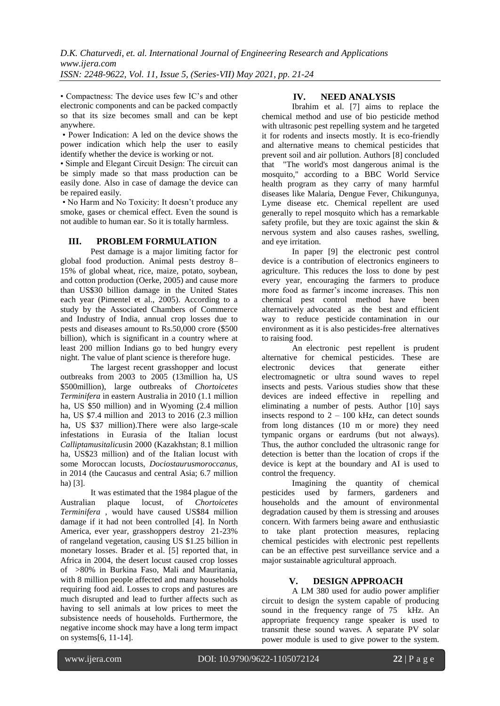• Compactness: The device uses few IC's and other electronic components and can be packed compactly so that its size becomes small and can be kept anywhere.

• Power Indication: A led on the device shows the power indication which help the user to easily identify whether the device is working or not.

• Simple and Elegant Circuit Design: The circuit can be simply made so that mass production can be easily done. Also in case of damage the device can be repaired easily.

• No Harm and No Toxicity: It doesn't produce any smoke, gases or chemical effect. Even the sound is not audible to human ear. So it is totally harmless.

#### **III. PROBLEM FORMULATION**

Pest damage is a major limiting factor for global food production. Animal pests destroy 8– 15% of global wheat, rice, maize, potato, soybean, and cotton production (Oerke, 2005) and cause more than US\$30 billion damage in the United States each year (Pimentel et al., 2005). According to a study by the Associated Chambers of Commerce and Industry of India, annual crop losses due to pests and diseases amount to Rs.50,000 crore (\$500 billion), which is significant in a country where at least 200 million Indians go to bed hungry every night. The value of plant science is therefore huge.

The largest recent grasshopper and locust outbreaks from 2003 to 2005 (13million ha, US \$500million), large outbreaks of *Chortoicetes Terminifera* in eastern Australia in 2010 (1.1 million ha, US \$50 million) and in Wyoming (2.4 million ha, US \$7.4 million and 2013 to 2016 (2.3 million ha, US \$37 million).There were also large-scale infestations in Eurasia of the Italian locust *Calliptamusitalicus*in 2000 (Kazakhstan; 8.1 million ha, US\$23 million) and of the Italian locust with some Moroccan locusts, *Dociostaurusmoroccanus,* in 2014 (the Caucasus and central Asia; 6.7 million ha) [3].

It was estimated that the 1984 plague of the Australian plaque locust, of *Chortoicetes Terminifera* , would have caused US\$84 million damage if it had not been controlled [4]. In North America, ever year, grasshoppers destroy 21-23% of rangeland vegetation, causing US \$1.25 billion in monetary losses. Brader et al. [5] reported that, in Africa in 2004, the desert locust caused crop losses of >80% in Burkina Faso, Mali and Mauritania, with 8 million people affected and many households requiring food aid. Losses to crops and pastures are much disrupted and lead to further affects such as having to sell animals at low prices to meet the subsistence needs of households. Furthermore, the negative income shock may have a long term impact on systems[6, 11-14].

### **IV. NEED ANALYSIS**

Ibrahim et al. [7] aims to replace the chemical method and use of bio pesticide method with ultrasonic pest repelling system and he targeted it for rodents and insects mostly. It is eco-friendly and alternative means to chemical pesticides that prevent soil and air pollution. Authors [8] concluded that "The world's most dangerous animal is the mosquito," according to a BBC World Service health program as they carry of many harmful diseases like Malaria, Dengue Fever, Chikungunya, Lyme disease etc. Chemical repellent are used generally to repel mosquito which has a remarkable safety profile, but they are toxic against the skin & nervous system and also causes rashes, swelling, and eye irritation.

In paper [9] the electronic pest control device is a contribution of electronics engineers to agriculture. This reduces the loss to done by pest every year, encouraging the farmers to produce more food as farmer's income increases. This non chemical pest control method have been alternatively advocated as the best and efficient way to reduce pesticide contamination in our environment as it is also pesticides-free alternatives to raising food.

An electronic pest repellent is prudent alternative for chemical pesticides. These are electronic devices that generate either electromagnetic or ultra sound waves to repel insects and pests. Various studies show that these devices are indeed effective in repelling and eliminating a number of pests. Author [10] says insects respond to  $2 - 100$  kHz, can detect sounds from long distances (10 m or more) they need tympanic organs or eardrums (but not always). Thus, the author concluded the ultrasonic range for detection is better than the location of crops if the device is kept at the boundary and AI is used to control the frequency.

Imagining the quantity of chemical pesticides used by farmers, gardeners and households and the amount of environmental degradation caused by them is stressing and arouses concern. With farmers being aware and enthusiastic to take plant protection measures, replacing chemical pesticides with electronic pest repellents can be an effective pest surveillance service and a major sustainable agricultural approach.

### **V. DESIGN APPROACH**

A LM 380 used for audio power amplifier circuit to design the system capable of producing sound in the frequency range of 75 kHz. An appropriate frequency range speaker is used to transmit these sound waves. A separate PV solar power module is used to give power to the system.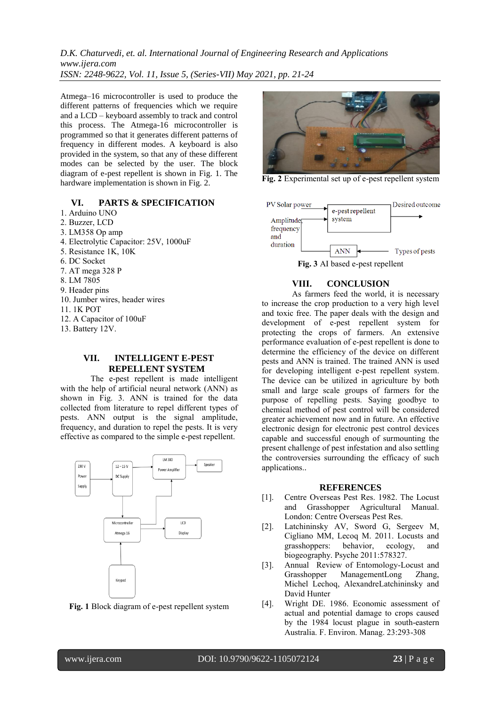*D.K. Chaturvedi, et. al. International Journal of Engineering Research and Applications www.ijera.com ISSN: 2248-9622, Vol. 11, Issue 5, (Series-VII) May 2021, pp. 21-24*

Atmega–16 microcontroller is used to produce the different patterns of frequencies which we require and a LCD – keyboard assembly to track and control this process. The Atmega-16 microcontroller is programmed so that it generates different patterns of frequency in different modes. A keyboard is also provided in the system, so that any of these different modes can be selected by the user. The block diagram of e-pest repellent is shown in Fig. 1. The hardware implementation is shown in Fig. 2.

#### **VI. PARTS & SPECIFICATION**

- 1. Arduino UNO
- 2. Buzzer, LCD
- 3. LM358 Op amp
- 4. Electrolytic Capacitor: 25V, 1000uF
- 5. Resistance 1K, 10K
- 6. DC Socket
- 7. AT mega 328 P
- 8. LM 7805
- 9. Header pins
- 10. Jumber wires, header wires
- 11. 1K POT
- 12. A Capacitor of 100uF
- 13. Battery 12V.

### **VII. INTELLIGENT E-PEST REPELLENT SYSTEM**

The e-pest repellent is made intelligent with the help of artificial neural network (ANN) as shown in Fig. 3. ANN is trained for the data collected from literature to repel different types of pests. ANN output is the signal amplitude, frequency, and duration to repel the pests. It is very effective as compared to the simple e-pest repellent.







**Fig. 2** Experimental set up of e-pest repellent system



#### **VIII. CONCLUSION**

As farmers feed the world, it is necessary to increase the crop production to a very high level and toxic free. The paper deals with the design and development of e-pest repellent system for protecting the crops of farmers. An extensive performance evaluation of e-pest repellent is done to determine the efficiency of the device on different pests and ANN is trained. The trained ANN is used for developing intelligent e-pest repellent system. The device can be utilized in agriculture by both small and large scale groups of farmers for the purpose of repelling pests. Saying goodbye to chemical method of pest control will be considered greater achievement now and in future. An effective electronic design for electronic pest control devices capable and successful enough of surmounting the present challenge of pest infestation and also settling the controversies surrounding the efficacy of such applications..

#### **REFERENCES**

- [1]. Centre Overseas Pest Res. 1982. The Locust and Grasshopper Agricultural Manual. London: Centre Overseas Pest Res.
- [2]. Latchininsky AV, Sword G, Sergeev M, Cigliano MM, Lecoq M. 2011. Locusts and grasshoppers: behavior, ecology, and biogeography. Psyche 2011:578327.
- [3]. Annual Review of Entomology-Locust and Grasshopper ManagementLong Zhang, Michel Lechoq, AlexandreLatchininsky and David Hunter
- [4]. Wright DE. 1986. Economic assessment of actual and potential damage to crops caused by the 1984 locust plague in south-eastern Australia. F. Environ. Manag. 23:293-308